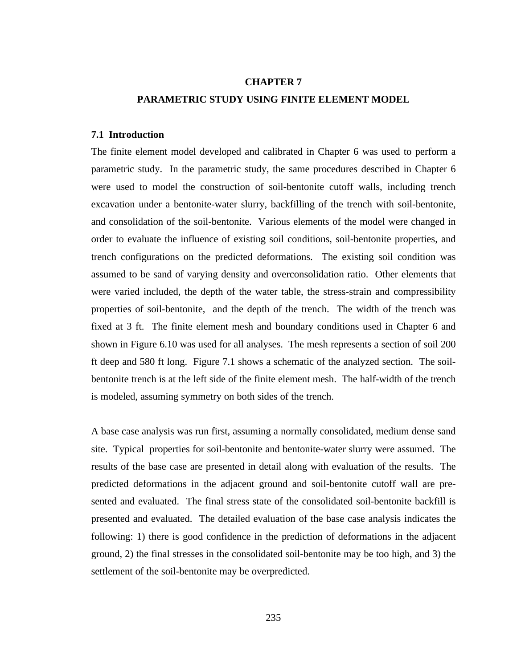### **CHAPTER 7**

# **PARAMETRIC STUDY USING FINITE ELEMENT MODEL**

## **7.1 Introduction**

The finite element model developed and calibrated in Chapter 6 was used to perform a parametric study. In the parametric study, the same procedures described in Chapter 6 were used to model the construction of soil-bentonite cutoff walls, including trench excavation under a bentonite-water slurry, backfilling of the trench with soil-bentonite, and consolidation of the soil-bentonite. Various elements of the model were changed in order to evaluate the influence of existing soil conditions, soil-bentonite properties, and trench configurations on the predicted deformations. The existing soil condition was assumed to be sand of varying density and overconsolidation ratio. Other elements that were varied included, the depth of the water table, the stress-strain and compressibility properties of soil-bentonite, and the depth of the trench. The width of the trench was fixed at 3 ft. The finite element mesh and boundary conditions used in Chapter 6 and shown in Figure 6.10 was used for all analyses. The mesh represents a section of soil 200 ft deep and 580 ft long. Figure 7.1 shows a schematic of the analyzed section. The soilbentonite trench is at the left side of the finite element mesh. The half-width of the trench is modeled, assuming symmetry on both sides of the trench.

A base case analysis was run first, assuming a normally consolidated, medium dense sand site. Typical properties for soil-bentonite and bentonite-water slurry were assumed. The results of the base case are presented in detail along with evaluation of the results. The predicted deformations in the adjacent ground and soil-bentonite cutoff wall are presented and evaluated. The final stress state of the consolidated soil-bentonite backfill is presented and evaluated. The detailed evaluation of the base case analysis indicates the following: 1) there is good confidence in the prediction of deformations in the adjacent ground, 2) the final stresses in the consolidated soil-bentonite may be too high, and 3) the settlement of the soil-bentonite may be overpredicted.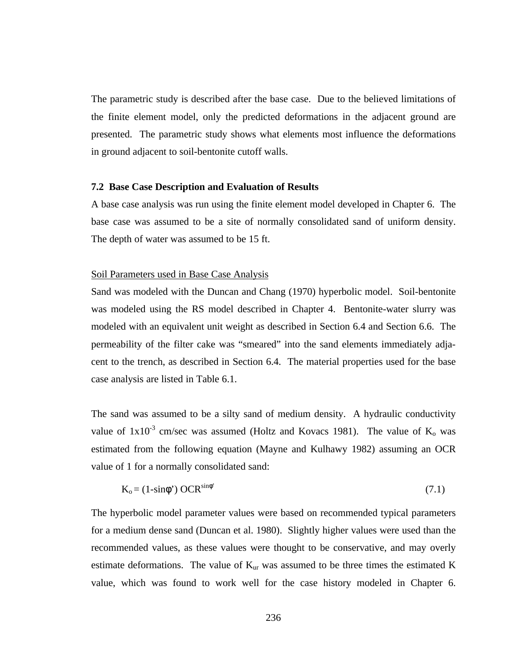The parametric study is described after the base case. Due to the believed limitations of the finite element model, only the predicted deformations in the adjacent ground are presented. The parametric study shows what elements most influence the deformations in ground adjacent to soil-bentonite cutoff walls.

### **7.2 Base Case Description and Evaluation of Results**

A base case analysis was run using the finite element model developed in Chapter 6. The base case was assumed to be a site of normally consolidated sand of uniform density. The depth of water was assumed to be 15 ft.

### Soil Parameters used in Base Case Analysis

Sand was modeled with the Duncan and Chang (1970) hyperbolic model. Soil-bentonite was modeled using the RS model described in Chapter 4. Bentonite-water slurry was modeled with an equivalent unit weight as described in Section 6.4 and Section 6.6. The permeability of the filter cake was "smeared" into the sand elements immediately adjacent to the trench, as described in Section 6.4. The material properties used for the base case analysis are listed in Table 6.1.

The sand was assumed to be a silty sand of medium density. A hydraulic conductivity value of  $1x10^{-3}$  cm/sec was assumed (Holtz and Kovacs 1981). The value of  $K_0$  was estimated from the following equation (Mayne and Kulhawy 1982) assuming an OCR value of 1 for a normally consolidated sand:

$$
K_0 = (1 - \sin\phi^*) \, OCR^{\sin\phi^*} \tag{7.1}
$$

The hyperbolic model parameter values were based on recommended typical parameters for a medium dense sand (Duncan et al. 1980). Slightly higher values were used than the recommended values, as these values were thought to be conservative, and may overly estimate deformations. The value of  $K_{ur}$  was assumed to be three times the estimated  $K$ value, which was found to work well for the case history modeled in Chapter 6.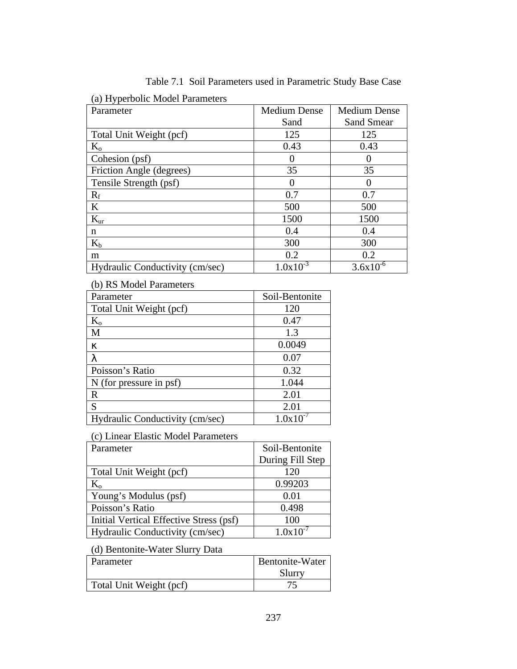| $\alpha$ , $\alpha$ , persone moder i diameters |                     |                     |
|-------------------------------------------------|---------------------|---------------------|
| Parameter                                       | <b>Medium Dense</b> | <b>Medium Dense</b> |
|                                                 | Sand                | <b>Sand Smear</b>   |
| Total Unit Weight (pcf)                         | 125                 | 125                 |
| $K_{o}$                                         | 0.43                | 0.43                |
| Cohesion (psf)                                  |                     |                     |
| Friction Angle (degrees)                        | 35                  | 35                  |
| Tensile Strength (psf)                          | 0                   | $\mathbf{\Omega}$   |
| $R_f$                                           | 0.7                 | 0.7                 |
| K                                               | 500                 | 500                 |
| $K_{\text{ur}}$                                 | 1500                | 1500                |
| n                                               | 0.4                 | 0.4                 |
| $K_b$                                           | 300                 | 300                 |
| m                                               | 0.2                 | 0.2                 |
| Hydraulic Conductivity (cm/sec)                 | $1.0x10^{-3}$       | $3.6x10^{-6}$       |

Table 7.1 Soil Parameters used in Parametric Study Base Case

(a) Hyperbolic Model Parameters

(b) RS Model Parameters

| Parameter                       | Soil-Bentonite |
|---------------------------------|----------------|
| Total Unit Weight (pcf)         | 120            |
| $K_{o}$                         | 0.47           |
| M                               | 1.3            |
| ĸ                               | 0.0049         |
| λ                               | 0.07           |
| Poisson's Ratio                 | 0.32           |
| N (for pressure in psf)         | 1.044          |
| $\mathbf R$                     | 2.01           |
| S                               | 2.01           |
| Hydraulic Conductivity (cm/sec) | $1.0x10^{-}$   |

(c) Linear Elastic Model Parameters

| Parameter                               | Soil-Bentonite   |
|-----------------------------------------|------------------|
|                                         | During Fill Step |
| Total Unit Weight (pcf)                 | 120              |
| $\rm K_{o}$                             | 0.99203          |
| Young's Modulus (psf)                   | 0.01             |
| Poisson's Ratio                         | 0.498            |
| Initial Vertical Effective Stress (psf) | 100              |
| Hydraulic Conductivity (cm/sec)         | $1.0x10^{-}$     |

(d) Bentonite-Water Slurry Data

| Parameter               | Bentonite-Water |
|-------------------------|-----------------|
|                         | Slurry          |
| Total Unit Weight (pcf) |                 |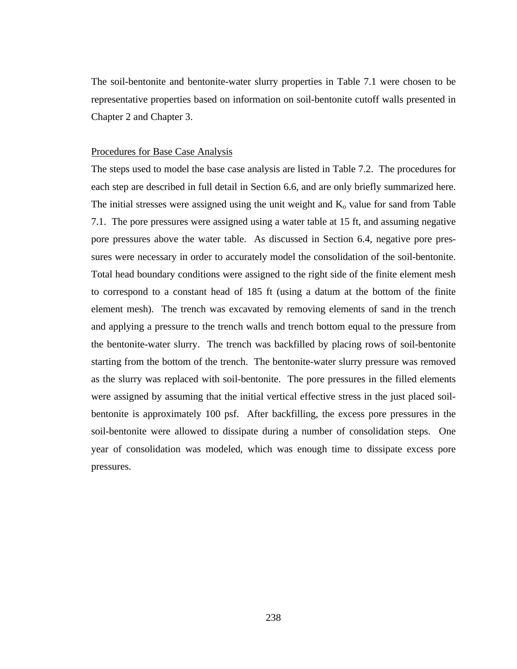The soil-bentonite and bentonite-water slurry properties in Table 7.1 were chosen to be representative properties based on information on soil-bentonite cutoff walls presented in Chapter 2 and Chapter 3.

#### Procedures for Base Case Analysis

The steps used to model the base case analysis are listed in Table 7.2. The procedures for each step are described in full detail in Section 6.6, and are only briefly summarized here. The initial stresses were assigned using the unit weight and  $K_0$  value for sand from Table 7.1. The pore pressures were assigned using a water table at 15 ft, and assuming negative pore pressures above the water table. As discussed in Section 6.4, negative pore pressures were necessary in order to accurately model the consolidation of the soil-bentonite. Total head boundary conditions were assigned to the right side of the finite element mesh to correspond to a constant head of 185 ft (using a datum at the bottom of the finite element mesh). The trench was excavated by removing elements of sand in the trench and applying a pressure to the trench walls and trench bottom equal to the pressure from the bentonite-water slurry. The trench was backfilled by placing rows of soil-bentonite starting from the bottom of the trench. The bentonite-water slurry pressure was removed as the slurry was replaced with soil-bentonite. The pore pressures in the filled elements were assigned by assuming that the initial vertical effective stress in the just placed soilbentonite is approximately 100 psf. After backfilling, the excess pore pressures in the soil-bentonite were allowed to dissipate during a number of consolidation steps. One year of consolidation was modeled, which was enough time to dissipate excess pore pressures.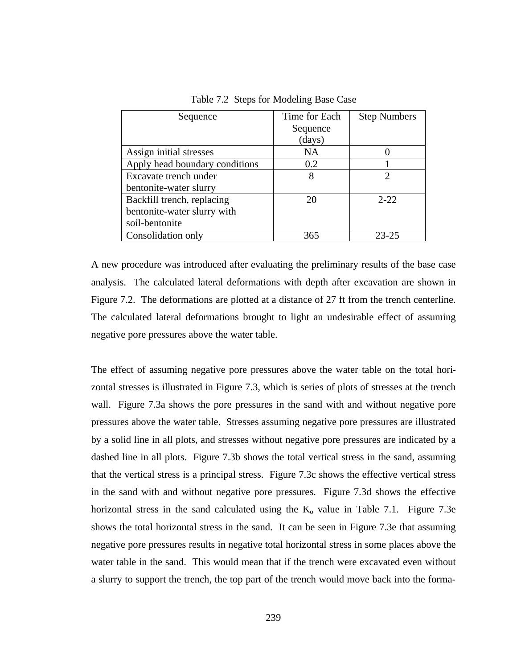| Sequence                       | Time for Each | <b>Step Numbers</b> |
|--------------------------------|---------------|---------------------|
|                                | Sequence      |                     |
|                                | (days)        |                     |
| Assign initial stresses        | NA            |                     |
| Apply head boundary conditions | 0.2           |                     |
| Excavate trench under          | 8             |                     |
| bentonite-water slurry         |               |                     |
| Backfill trench, replacing     | 20            | $2 - 22$            |
| bentonite-water slurry with    |               |                     |
| soil-bentonite                 |               |                     |
| Consolidation only             | 365           | 23-25               |

Table 7.2 Steps for Modeling Base Case

A new procedure was introduced after evaluating the preliminary results of the base case analysis. The calculated lateral deformations with depth after excavation are shown in Figure 7.2. The deformations are plotted at a distance of 27 ft from the trench centerline. The calculated lateral deformations brought to light an undesirable effect of assuming negative pore pressures above the water table.

The effect of assuming negative pore pressures above the water table on the total horizontal stresses is illustrated in Figure 7.3, which is series of plots of stresses at the trench wall. Figure 7.3a shows the pore pressures in the sand with and without negative pore pressures above the water table. Stresses assuming negative pore pressures are illustrated by a solid line in all plots, and stresses without negative pore pressures are indicated by a dashed line in all plots. Figure 7.3b shows the total vertical stress in the sand, assuming that the vertical stress is a principal stress. Figure 7.3c shows the effective vertical stress in the sand with and without negative pore pressures. Figure 7.3d shows the effective horizontal stress in the sand calculated using the  $K_0$  value in Table 7.1. Figure 7.3e shows the total horizontal stress in the sand. It can be seen in Figure 7.3e that assuming negative pore pressures results in negative total horizontal stress in some places above the water table in the sand. This would mean that if the trench were excavated even without a slurry to support the trench, the top part of the trench would move back into the forma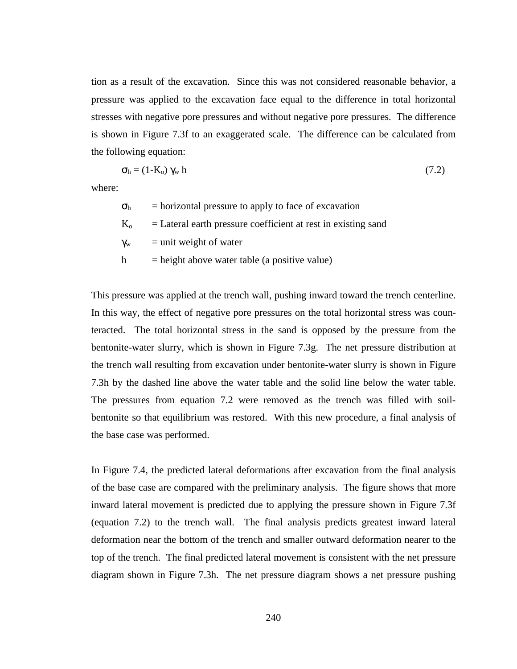tion as a result of the excavation. Since this was not considered reasonable behavior, a pressure was applied to the excavation face equal to the difference in total horizontal stresses with negative pore pressures and without negative pore pressures. The difference is shown in Figure 7.3f to an exaggerated scale. The difference can be calculated from the following equation:

$$
\sigma_{\rm h} = (1 - \text{K}_0) \, \gamma_{\rm w} \, \text{h} \tag{7.2}
$$

where:

 $\sigma_{\rm h}$  = horizontal pressure to apply to face of excavation  $K<sub>o</sub>$  = Lateral earth pressure coefficient at rest in existing sand  $\gamma_w$  = unit weight of water  $h = height above water table (a positive value)$ 

This pressure was applied at the trench wall, pushing inward toward the trench centerline. In this way, the effect of negative pore pressures on the total horizontal stress was counteracted. The total horizontal stress in the sand is opposed by the pressure from the bentonite-water slurry, which is shown in Figure 7.3g. The net pressure distribution at the trench wall resulting from excavation under bentonite-water slurry is shown in Figure 7.3h by the dashed line above the water table and the solid line below the water table. The pressures from equation 7.2 were removed as the trench was filled with soilbentonite so that equilibrium was restored. With this new procedure, a final analysis of the base case was performed.

In Figure 7.4, the predicted lateral deformations after excavation from the final analysis of the base case are compared with the preliminary analysis. The figure shows that more inward lateral movement is predicted due to applying the pressure shown in Figure 7.3f (equation 7.2) to the trench wall. The final analysis predicts greatest inward lateral deformation near the bottom of the trench and smaller outward deformation nearer to the top of the trench. The final predicted lateral movement is consistent with the net pressure diagram shown in Figure 7.3h. The net pressure diagram shows a net pressure pushing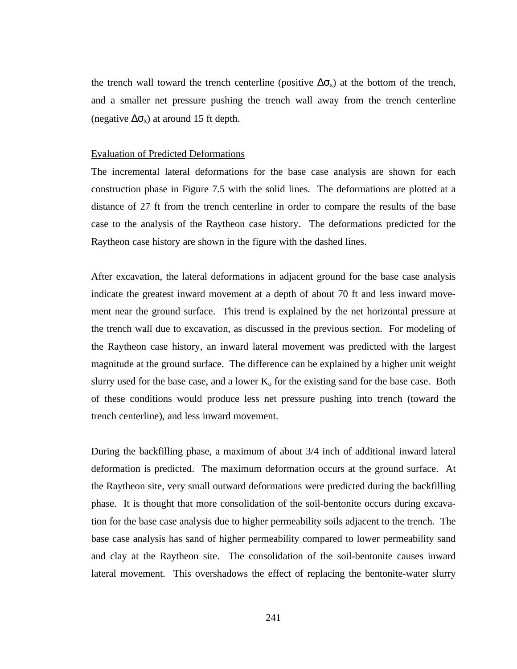the trench wall toward the trench centerline (positive  $\Delta \sigma_{x}$ ) at the bottom of the trench, and a smaller net pressure pushing the trench wall away from the trench centerline (negative  $\Delta \sigma_{x}$ ) at around 15 ft depth.

#### Evaluation of Predicted Deformations

The incremental lateral deformations for the base case analysis are shown for each construction phase in Figure 7.5 with the solid lines. The deformations are plotted at a distance of 27 ft from the trench centerline in order to compare the results of the base case to the analysis of the Raytheon case history. The deformations predicted for the Raytheon case history are shown in the figure with the dashed lines.

After excavation, the lateral deformations in adjacent ground for the base case analysis indicate the greatest inward movement at a depth of about 70 ft and less inward movement near the ground surface. This trend is explained by the net horizontal pressure at the trench wall due to excavation, as discussed in the previous section. For modeling of the Raytheon case history, an inward lateral movement was predicted with the largest magnitude at the ground surface. The difference can be explained by a higher unit weight slurry used for the base case, and a lower  $K_0$  for the existing sand for the base case. Both of these conditions would produce less net pressure pushing into trench (toward the trench centerline), and less inward movement.

During the backfilling phase, a maximum of about 3/4 inch of additional inward lateral deformation is predicted. The maximum deformation occurs at the ground surface. At the Raytheon site, very small outward deformations were predicted during the backfilling phase. It is thought that more consolidation of the soil-bentonite occurs during excavation for the base case analysis due to higher permeability soils adjacent to the trench. The base case analysis has sand of higher permeability compared to lower permeability sand and clay at the Raytheon site. The consolidation of the soil-bentonite causes inward lateral movement. This overshadows the effect of replacing the bentonite-water slurry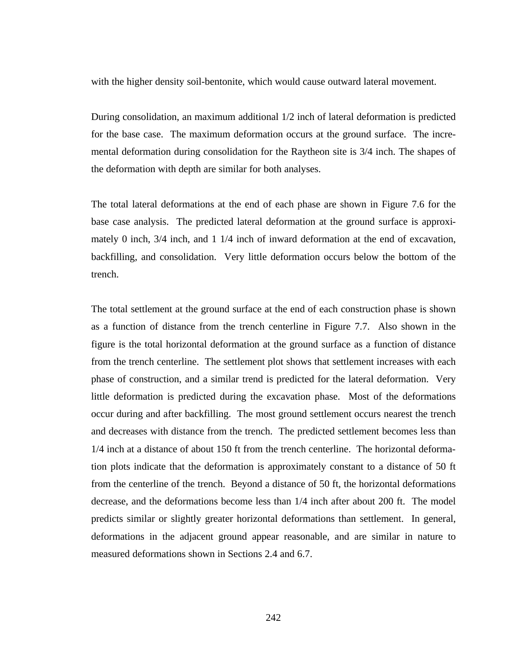with the higher density soil-bentonite, which would cause outward lateral movement.

During consolidation, an maximum additional 1/2 inch of lateral deformation is predicted for the base case. The maximum deformation occurs at the ground surface. The incremental deformation during consolidation for the Raytheon site is 3/4 inch. The shapes of the deformation with depth are similar for both analyses.

The total lateral deformations at the end of each phase are shown in Figure 7.6 for the base case analysis. The predicted lateral deformation at the ground surface is approximately 0 inch, 3/4 inch, and 1 1/4 inch of inward deformation at the end of excavation, backfilling, and consolidation. Very little deformation occurs below the bottom of the trench.

The total settlement at the ground surface at the end of each construction phase is shown as a function of distance from the trench centerline in Figure 7.7. Also shown in the figure is the total horizontal deformation at the ground surface as a function of distance from the trench centerline. The settlement plot shows that settlement increases with each phase of construction, and a similar trend is predicted for the lateral deformation. Very little deformation is predicted during the excavation phase. Most of the deformations occur during and after backfilling. The most ground settlement occurs nearest the trench and decreases with distance from the trench. The predicted settlement becomes less than 1/4 inch at a distance of about 150 ft from the trench centerline. The horizontal deformation plots indicate that the deformation is approximately constant to a distance of 50 ft from the centerline of the trench. Beyond a distance of 50 ft, the horizontal deformations decrease, and the deformations become less than 1/4 inch after about 200 ft. The model predicts similar or slightly greater horizontal deformations than settlement. In general, deformations in the adjacent ground appear reasonable, and are similar in nature to measured deformations shown in Sections 2.4 and 6.7.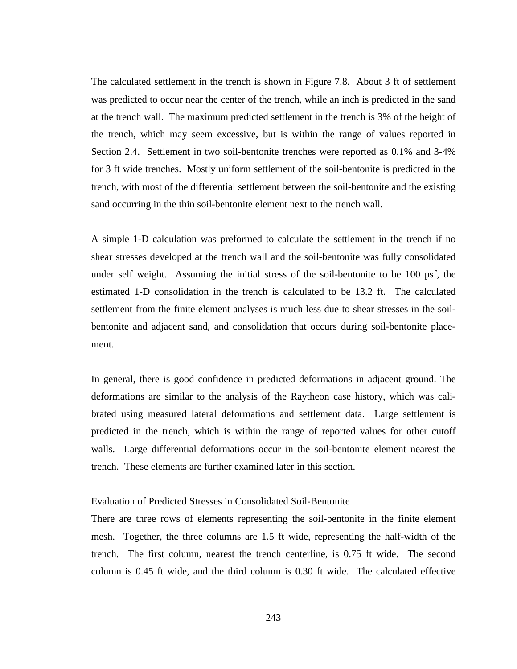The calculated settlement in the trench is shown in Figure 7.8. About 3 ft of settlement was predicted to occur near the center of the trench, while an inch is predicted in the sand at the trench wall. The maximum predicted settlement in the trench is 3% of the height of the trench, which may seem excessive, but is within the range of values reported in Section 2.4. Settlement in two soil-bentonite trenches were reported as 0.1% and 3-4% for 3 ft wide trenches. Mostly uniform settlement of the soil-bentonite is predicted in the trench, with most of the differential settlement between the soil-bentonite and the existing sand occurring in the thin soil-bentonite element next to the trench wall.

A simple 1-D calculation was preformed to calculate the settlement in the trench if no shear stresses developed at the trench wall and the soil-bentonite was fully consolidated under self weight. Assuming the initial stress of the soil-bentonite to be 100 psf, the estimated 1-D consolidation in the trench is calculated to be 13.2 ft. The calculated settlement from the finite element analyses is much less due to shear stresses in the soilbentonite and adjacent sand, and consolidation that occurs during soil-bentonite placement.

In general, there is good confidence in predicted deformations in adjacent ground. The deformations are similar to the analysis of the Raytheon case history, which was calibrated using measured lateral deformations and settlement data. Large settlement is predicted in the trench, which is within the range of reported values for other cutoff walls. Large differential deformations occur in the soil-bentonite element nearest the trench. These elements are further examined later in this section.

### Evaluation of Predicted Stresses in Consolidated Soil-Bentonite

There are three rows of elements representing the soil-bentonite in the finite element mesh. Together, the three columns are 1.5 ft wide, representing the half-width of the trench. The first column, nearest the trench centerline, is 0.75 ft wide. The second column is 0.45 ft wide, and the third column is 0.30 ft wide. The calculated effective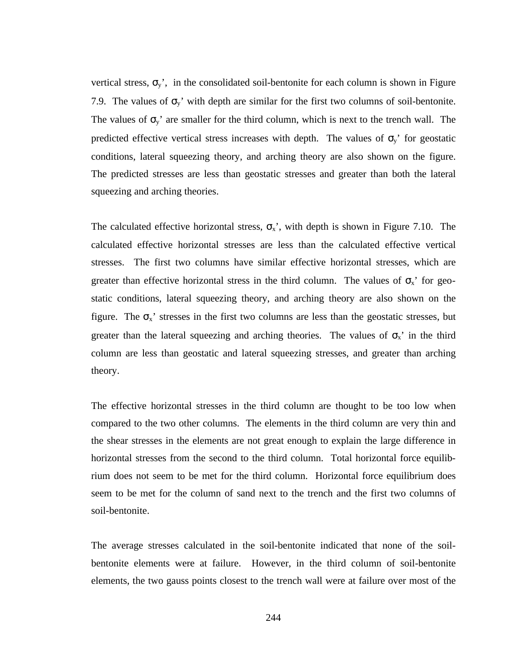vertical stress,  $\sigma_y$ , in the consolidated soil-bentonite for each column is shown in Figure 7.9. The values of  $\sigma_y$ ' with depth are similar for the first two columns of soil-bentonite. The values of  $\sigma_y$ ' are smaller for the third column, which is next to the trench wall. The predicted effective vertical stress increases with depth. The values of  $\sigma_y$  for geostatic conditions, lateral squeezing theory, and arching theory are also shown on the figure. The predicted stresses are less than geostatic stresses and greater than both the lateral squeezing and arching theories.

The calculated effective horizontal stress,  $\sigma_{x}$ , with depth is shown in Figure 7.10. The calculated effective horizontal stresses are less than the calculated effective vertical stresses. The first two columns have similar effective horizontal stresses, which are greater than effective horizontal stress in the third column. The values of  $\sigma_{x}$  for geostatic conditions, lateral squeezing theory, and arching theory are also shown on the figure. The  $\sigma_x$ ' stresses in the first two columns are less than the geostatic stresses, but greater than the lateral squeezing and arching theories. The values of  $\sigma_{x}$  in the third column are less than geostatic and lateral squeezing stresses, and greater than arching theory.

The effective horizontal stresses in the third column are thought to be too low when compared to the two other columns. The elements in the third column are very thin and the shear stresses in the elements are not great enough to explain the large difference in horizontal stresses from the second to the third column. Total horizontal force equilibrium does not seem to be met for the third column. Horizontal force equilibrium does seem to be met for the column of sand next to the trench and the first two columns of soil-bentonite.

The average stresses calculated in the soil-bentonite indicated that none of the soilbentonite elements were at failure. However, in the third column of soil-bentonite elements, the two gauss points closest to the trench wall were at failure over most of the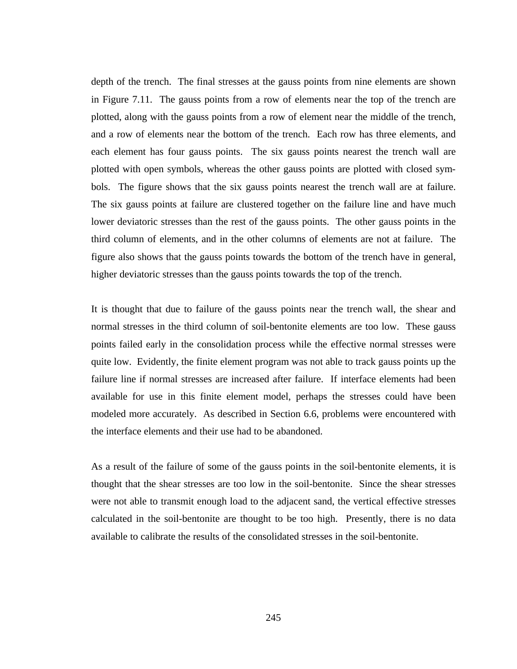depth of the trench. The final stresses at the gauss points from nine elements are shown in Figure 7.11. The gauss points from a row of elements near the top of the trench are plotted, along with the gauss points from a row of element near the middle of the trench, and a row of elements near the bottom of the trench. Each row has three elements, and each element has four gauss points. The six gauss points nearest the trench wall are plotted with open symbols, whereas the other gauss points are plotted with closed symbols. The figure shows that the six gauss points nearest the trench wall are at failure. The six gauss points at failure are clustered together on the failure line and have much lower deviatoric stresses than the rest of the gauss points. The other gauss points in the third column of elements, and in the other columns of elements are not at failure. The figure also shows that the gauss points towards the bottom of the trench have in general, higher deviatoric stresses than the gauss points towards the top of the trench.

It is thought that due to failure of the gauss points near the trench wall, the shear and normal stresses in the third column of soil-bentonite elements are too low. These gauss points failed early in the consolidation process while the effective normal stresses were quite low. Evidently, the finite element program was not able to track gauss points up the failure line if normal stresses are increased after failure. If interface elements had been available for use in this finite element model, perhaps the stresses could have been modeled more accurately. As described in Section 6.6, problems were encountered with the interface elements and their use had to be abandoned.

As a result of the failure of some of the gauss points in the soil-bentonite elements, it is thought that the shear stresses are too low in the soil-bentonite. Since the shear stresses were not able to transmit enough load to the adjacent sand, the vertical effective stresses calculated in the soil-bentonite are thought to be too high. Presently, there is no data available to calibrate the results of the consolidated stresses in the soil-bentonite.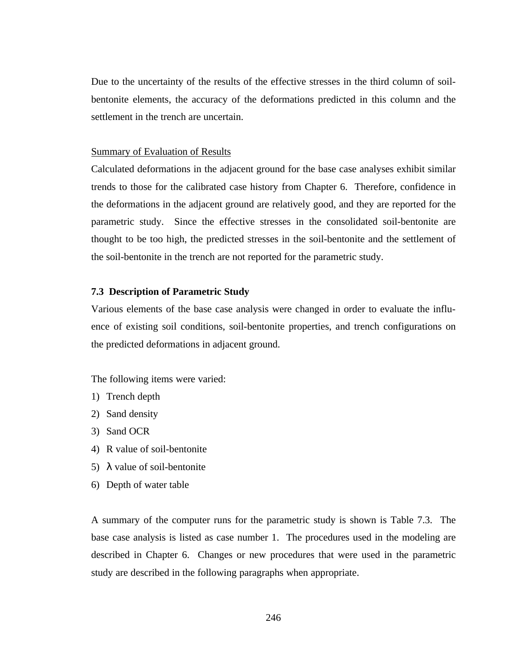Due to the uncertainty of the results of the effective stresses in the third column of soilbentonite elements, the accuracy of the deformations predicted in this column and the settlement in the trench are uncertain.

### Summary of Evaluation of Results

Calculated deformations in the adjacent ground for the base case analyses exhibit similar trends to those for the calibrated case history from Chapter 6. Therefore, confidence in the deformations in the adjacent ground are relatively good, and they are reported for the parametric study. Since the effective stresses in the consolidated soil-bentonite are thought to be too high, the predicted stresses in the soil-bentonite and the settlement of the soil-bentonite in the trench are not reported for the parametric study.

## **7.3 Description of Parametric Study**

Various elements of the base case analysis were changed in order to evaluate the influence of existing soil conditions, soil-bentonite properties, and trench configurations on the predicted deformations in adjacent ground.

The following items were varied:

- 1) Trench depth
- 2) Sand density
- 3) Sand OCR
- 4) R value of soil-bentonite
- 5) λ value of soil-bentonite
- 6) Depth of water table

A summary of the computer runs for the parametric study is shown is Table 7.3. The base case analysis is listed as case number 1. The procedures used in the modeling are described in Chapter 6. Changes or new procedures that were used in the parametric study are described in the following paragraphs when appropriate.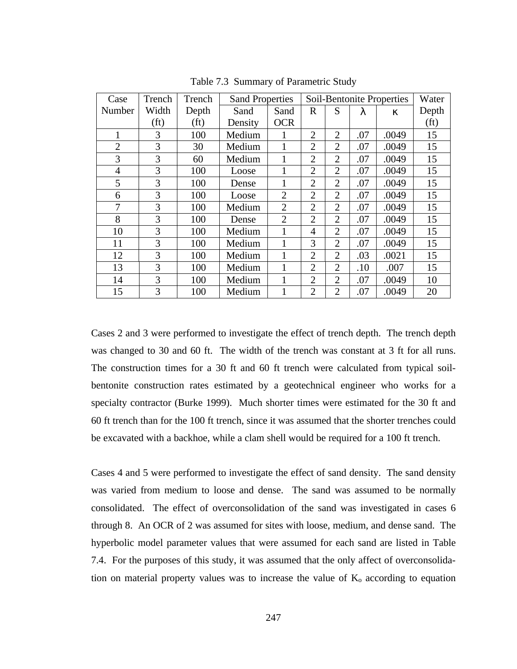| Case           | Trench            | Trench            | <b>Sand Properties</b> |                |                |                |     | Soil-Bentonite Properties | Water             |
|----------------|-------------------|-------------------|------------------------|----------------|----------------|----------------|-----|---------------------------|-------------------|
| Number         | Width             | Depth             | Sand                   | Sand           | $\mathbf R$    | S              | λ   | ĸ                         | Depth             |
|                | (f <sub>t</sub> ) | (f <sub>t</sub> ) | Density                | <b>OCR</b>     |                |                |     |                           | (f <sub>t</sub> ) |
| 1              | 3                 | 100               | Medium                 | 1              | $\overline{2}$ | $\overline{2}$ | .07 | .0049                     | 15                |
| $\overline{2}$ | 3                 | 30                | Medium                 |                | $\overline{2}$ | $\overline{2}$ | .07 | .0049                     | 15                |
| 3              | 3                 | 60                | Medium                 |                | $\overline{2}$ | $\overline{2}$ | .07 | .0049                     | 15                |
| $\overline{4}$ | 3                 | 100               | Loose                  |                | $\overline{2}$ | $\overline{2}$ | .07 | .0049                     | 15                |
| 5              | 3                 | 100               | Dense                  |                | $\overline{2}$ | $\overline{2}$ | .07 | .0049                     | 15                |
| 6              | 3                 | 100               | Loose                  | $\overline{2}$ | $\overline{2}$ | $\overline{2}$ | .07 | .0049                     | 15                |
| 7              | 3                 | 100               | Medium                 | $\overline{2}$ | $\overline{2}$ | $\overline{2}$ | .07 | .0049                     | 15                |
| 8              | 3                 | 100               | Dense                  | $\overline{2}$ | 2              | $\overline{2}$ | .07 | .0049                     | 15                |
| 10             | 3                 | 100               | Medium                 | 1              | $\overline{4}$ | $\overline{2}$ | .07 | .0049                     | 15                |
| 11             | 3                 | 100               | Medium                 | 1              | 3              | $\overline{2}$ | .07 | .0049                     | 15                |
| 12             | 3                 | 100               | Medium                 | 1              | $\overline{2}$ | $\overline{2}$ | .03 | .0021                     | 15                |
| 13             | 3                 | 100               | Medium                 |                | $\overline{2}$ | $\overline{2}$ | .10 | .007                      | 15                |
| 14             | 3                 | 100               | Medium                 |                | $\overline{2}$ | $\overline{2}$ | .07 | .0049                     | 10                |
| 15             | 3                 | 100               | Medium                 | 1              | 2              | $\overline{2}$ | .07 | .0049                     | 20                |

Table 7.3 Summary of Parametric Study

Cases 2 and 3 were performed to investigate the effect of trench depth. The trench depth was changed to 30 and 60 ft. The width of the trench was constant at 3 ft for all runs. The construction times for a 30 ft and 60 ft trench were calculated from typical soilbentonite construction rates estimated by a geotechnical engineer who works for a specialty contractor (Burke 1999). Much shorter times were estimated for the 30 ft and 60 ft trench than for the 100 ft trench, since it was assumed that the shorter trenches could be excavated with a backhoe, while a clam shell would be required for a 100 ft trench.

Cases 4 and 5 were performed to investigate the effect of sand density. The sand density was varied from medium to loose and dense. The sand was assumed to be normally consolidated. The effect of overconsolidation of the sand was investigated in cases 6 through 8. An OCR of 2 was assumed for sites with loose, medium, and dense sand. The hyperbolic model parameter values that were assumed for each sand are listed in Table 7.4. For the purposes of this study, it was assumed that the only affect of overconsolidation on material property values was to increase the value of  $K_0$  according to equation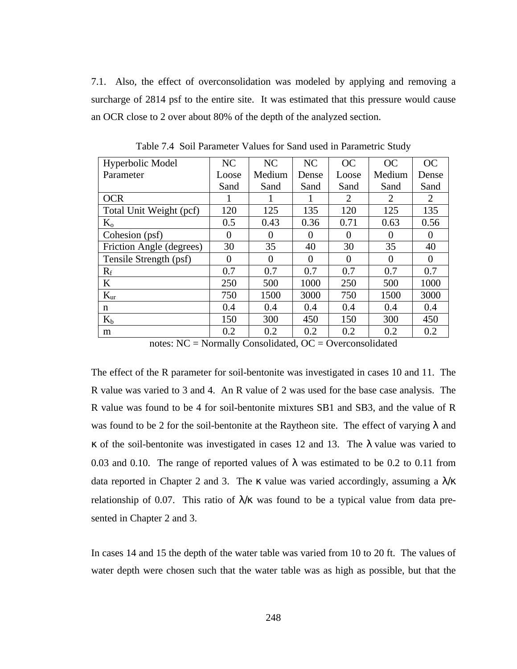7.1. Also, the effect of overconsolidation was modeled by applying and removing a surcharge of 2814 psf to the entire site. It was estimated that this pressure would cause an OCR close to 2 over about 80% of the depth of the analyzed section.

| Hyperbolic Model         | NC       | NC       | NC       | OC             | OC       | OC       |
|--------------------------|----------|----------|----------|----------------|----------|----------|
| Parameter                | Loose    | Medium   | Dense    | Loose          | Medium   | Dense    |
|                          | Sand     | Sand     | Sand     | Sand           | Sand     | Sand     |
| <b>OCR</b>               |          |          |          | $\overline{2}$ | 2        | 2        |
| Total Unit Weight (pcf)  | 120      | 125      | 135      | 120            | 125      | 135      |
| $K_{o}$                  | 0.5      | 0.43     | 0.36     | 0.71           | 0.63     | 0.56     |
| Cohesion (psf)           | $\Omega$ | $\Omega$ | 0        | $\Omega$       | $\Omega$ | $\theta$ |
| Friction Angle (degrees) | 30       | 35       | 40       | 30             | 35       | 40       |
| Tensile Strength (psf)   | $\Omega$ | $\Omega$ | $\Omega$ | $\Omega$       | $\Omega$ | $\Omega$ |
| $R_f$                    | 0.7      | 0.7      | 0.7      | 0.7            | 0.7      | 0.7      |
| $\bf K$                  | 250      | 500      | 1000     | 250            | 500      | 1000     |
| $K_{\text{ur}}$          | 750      | 1500     | 3000     | 750            | 1500     | 3000     |
| n                        | 0.4      | 0.4      | 0.4      | 0.4            | 0.4      | 0.4      |
| $K_b$                    | 150      | 300      | 450      | 150            | 300      | 450      |
| m                        | 0.2      | 0.2      | 0.2      | 0.2            | 0.2      | 0.2      |

Table 7.4 Soil Parameter Values for Sand used in Parametric Study

notes: NC = Normally Consolidated, OC = Overconsolidated

The effect of the R parameter for soil-bentonite was investigated in cases 10 and 11. The R value was varied to 3 and 4. An R value of 2 was used for the base case analysis. The R value was found to be 4 for soil-bentonite mixtures SB1 and SB3, and the value of R was found to be 2 for the soil-bentonite at the Raytheon site. The effect of varying  $\lambda$  and κ of the soil-bentonite was investigated in cases 12 and 13. The λ value was varied to 0.03 and 0.10. The range of reported values of  $\lambda$  was estimated to be 0.2 to 0.11 from data reported in Chapter 2 and 3. The  $\kappa$  value was varied accordingly, assuming a  $\lambda/\kappa$ relationship of 0.07. This ratio of  $\lambda/\kappa$  was found to be a typical value from data presented in Chapter 2 and 3.

In cases 14 and 15 the depth of the water table was varied from 10 to 20 ft. The values of water depth were chosen such that the water table was as high as possible, but that the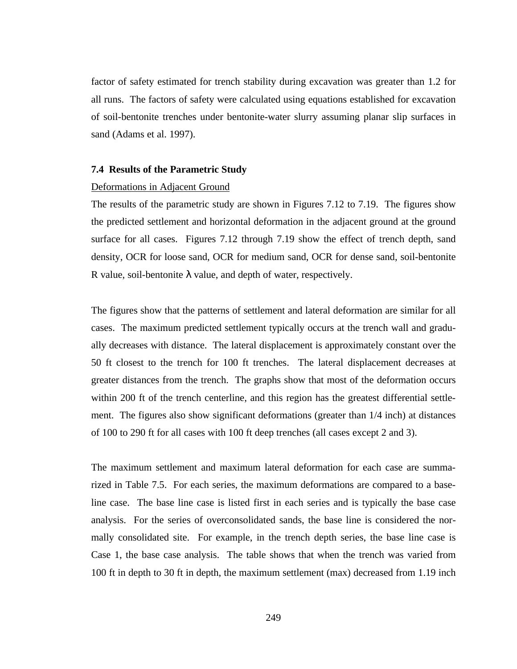factor of safety estimated for trench stability during excavation was greater than 1.2 for all runs. The factors of safety were calculated using equations established for excavation of soil-bentonite trenches under bentonite-water slurry assuming planar slip surfaces in sand (Adams et al. 1997).

#### **7.4 Results of the Parametric Study**

### Deformations in Adjacent Ground

The results of the parametric study are shown in Figures 7.12 to 7.19. The figures show the predicted settlement and horizontal deformation in the adjacent ground at the ground surface for all cases. Figures 7.12 through 7.19 show the effect of trench depth, sand density, OCR for loose sand, OCR for medium sand, OCR for dense sand, soil-bentonite R value, soil-bentonite  $\lambda$  value, and depth of water, respectively.

The figures show that the patterns of settlement and lateral deformation are similar for all cases. The maximum predicted settlement typically occurs at the trench wall and gradually decreases with distance. The lateral displacement is approximately constant over the 50 ft closest to the trench for 100 ft trenches. The lateral displacement decreases at greater distances from the trench. The graphs show that most of the deformation occurs within 200 ft of the trench centerline, and this region has the greatest differential settlement. The figures also show significant deformations (greater than 1/4 inch) at distances of 100 to 290 ft for all cases with 100 ft deep trenches (all cases except 2 and 3).

The maximum settlement and maximum lateral deformation for each case are summarized in Table 7.5. For each series, the maximum deformations are compared to a baseline case. The base line case is listed first in each series and is typically the base case analysis. For the series of overconsolidated sands, the base line is considered the normally consolidated site. For example, in the trench depth series, the base line case is Case 1, the base case analysis. The table shows that when the trench was varied from 100 ft in depth to 30 ft in depth, the maximum settlement (max) decreased from 1.19 inch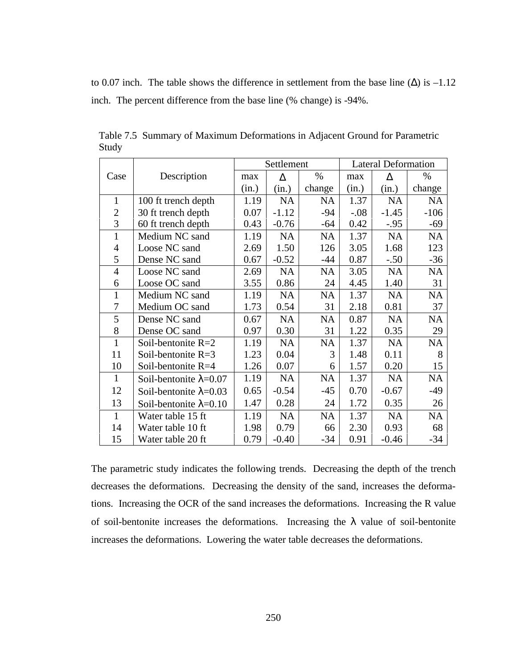to 0.07 inch. The table shows the difference in settlement from the base line  $(\Delta)$  is  $-1.12$ inch. The percent difference from the base line (% change) is -94%.

|                |                                | Settlement |           |           | <b>Lateral Deformation</b> |           |           |  |
|----------------|--------------------------------|------------|-----------|-----------|----------------------------|-----------|-----------|--|
| Case           | Description                    | max        | $\Delta$  | $\%$      | max                        | $\Delta$  | $\%$      |  |
|                |                                | (in.)      | (in.)     | change    | (in.)                      | (in.)     | change    |  |
| $\mathbf{1}$   | 100 ft trench depth            | 1.19       | <b>NA</b> | <b>NA</b> | 1.37                       | <b>NA</b> | <b>NA</b> |  |
| $\overline{2}$ | 30 ft trench depth             | 0.07       | $-1.12$   | $-94$     | $-.08$                     | $-1.45$   | $-106$    |  |
| 3              | 60 ft trench depth             | 0.43       | $-0.76$   | $-64$     | 0.42                       | $-.95$    | $-69$     |  |
| $\mathbf{1}$   | Medium NC sand                 | 1.19       | <b>NA</b> | <b>NA</b> | 1.37                       | NA        | <b>NA</b> |  |
| $\overline{4}$ | Loose NC sand                  | 2.69       | 1.50      | 126       | 3.05                       | 1.68      | 123       |  |
| 5              | Dense NC sand                  | 0.67       | $-0.52$   | -44       | 0.87                       | $-.50$    | $-36$     |  |
| $\overline{4}$ | Loose NC sand                  | 2.69       | <b>NA</b> | <b>NA</b> | 3.05                       | <b>NA</b> | NA        |  |
| 6              | Loose OC sand                  | 3.55       | 0.86      | 24        | 4.45                       | 1.40      | 31        |  |
| $\mathbf{1}$   | Medium NC sand                 | 1.19       | <b>NA</b> | <b>NA</b> | 1.37                       | <b>NA</b> | NA        |  |
| 7              | Medium OC sand                 | 1.73       | 0.54      | 31        | 2.18                       | 0.81      | 37        |  |
| 5              | Dense NC sand                  | 0.67       | <b>NA</b> | <b>NA</b> | 0.87                       | <b>NA</b> | <b>NA</b> |  |
| 8              | Dense OC sand                  | 0.97       | 0.30      | 31        | 1.22                       | 0.35      | 29        |  |
| $\mathbf{1}$   | Soil-bentonite R=2             | 1.19       | <b>NA</b> | <b>NA</b> | 1.37                       | NA        | <b>NA</b> |  |
| 11             | Soil-bentonite $R=3$           | 1.23       | 0.04      | 3         | 1.48                       | 0.11      | 8         |  |
| 10             | Soil-bentonite R=4             | 1.26       | 0.07      | 6         | 1.57                       | 0.20      | 15        |  |
| $\mathbf{1}$   | Soil-bentonite $\lambda$ =0.07 | 1.19       | <b>NA</b> | <b>NA</b> | 1.37                       | NA        | NA        |  |
| 12             | Soil-bentonite $\lambda$ =0.03 | 0.65       | $-0.54$   | $-45$     | 0.70                       | $-0.67$   | -49       |  |
| 13             | Soil-bentonite $\lambda$ =0.10 | 1.47       | 0.28      | 24        | 1.72                       | 0.35      | 26        |  |
| $\mathbf{1}$   | Water table 15 ft              | 1.19       | <b>NA</b> | <b>NA</b> | 1.37                       | <b>NA</b> | <b>NA</b> |  |
| 14             | Water table 10 ft              | 1.98       | 0.79      | 66        | 2.30                       | 0.93      | 68        |  |
| 15             | Water table 20 ft              | 0.79       | $-0.40$   | $-34$     | 0.91                       | $-0.46$   | $-34$     |  |

Table 7.5 Summary of Maximum Deformations in Adjacent Ground for Parametric Study

The parametric study indicates the following trends. Decreasing the depth of the trench decreases the deformations. Decreasing the density of the sand, increases the deformations. Increasing the OCR of the sand increases the deformations. Increasing the R value of soil-bentonite increases the deformations. Increasing the  $\lambda$  value of soil-bentonite increases the deformations. Lowering the water table decreases the deformations.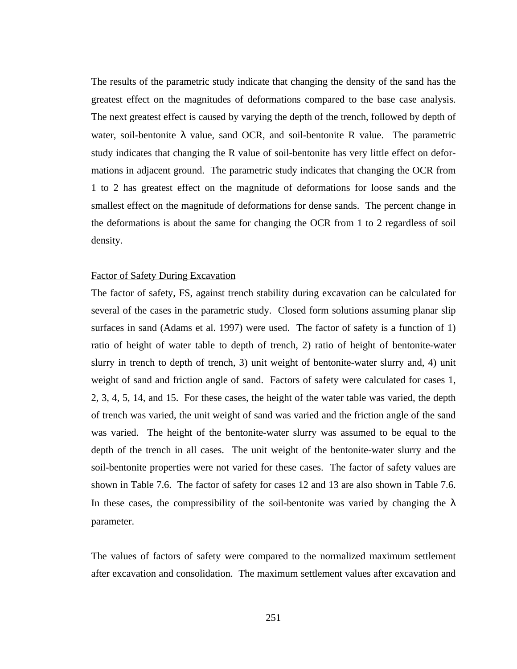The results of the parametric study indicate that changing the density of the sand has the greatest effect on the magnitudes of deformations compared to the base case analysis. The next greatest effect is caused by varying the depth of the trench, followed by depth of water, soil-bentonite  $\lambda$  value, sand OCR, and soil-bentonite R value. The parametric study indicates that changing the R value of soil-bentonite has very little effect on deformations in adjacent ground. The parametric study indicates that changing the OCR from 1 to 2 has greatest effect on the magnitude of deformations for loose sands and the smallest effect on the magnitude of deformations for dense sands. The percent change in the deformations is about the same for changing the OCR from 1 to 2 regardless of soil density.

## Factor of Safety During Excavation

The factor of safety, FS, against trench stability during excavation can be calculated for several of the cases in the parametric study. Closed form solutions assuming planar slip surfaces in sand (Adams et al. 1997) were used. The factor of safety is a function of 1) ratio of height of water table to depth of trench, 2) ratio of height of bentonite-water slurry in trench to depth of trench, 3) unit weight of bentonite-water slurry and, 4) unit weight of sand and friction angle of sand. Factors of safety were calculated for cases 1, 2, 3, 4, 5, 14, and 15. For these cases, the height of the water table was varied, the depth of trench was varied, the unit weight of sand was varied and the friction angle of the sand was varied. The height of the bentonite-water slurry was assumed to be equal to the depth of the trench in all cases. The unit weight of the bentonite-water slurry and the soil-bentonite properties were not varied for these cases. The factor of safety values are shown in Table 7.6. The factor of safety for cases 12 and 13 are also shown in Table 7.6. In these cases, the compressibility of the soil-bentonite was varied by changing the  $\lambda$ parameter.

The values of factors of safety were compared to the normalized maximum settlement after excavation and consolidation. The maximum settlement values after excavation and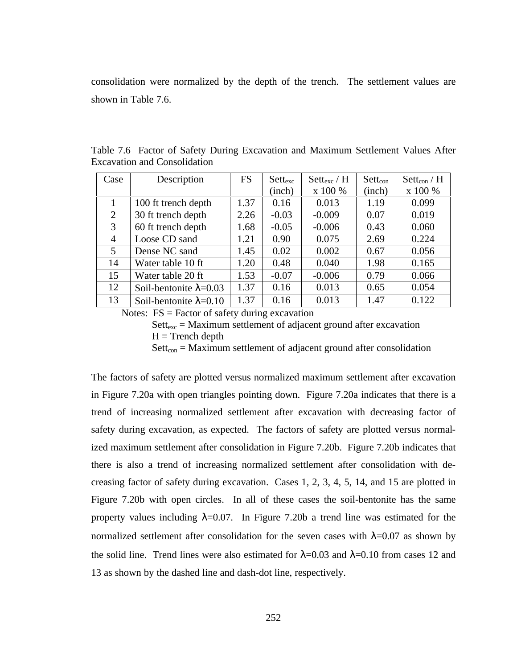consolidation were normalized by the depth of the trench. The settlement values are shown in Table 7.6.

| Case           | Description                    | <b>FS</b> | $Set_{\text{exc}}$ | $\text{Set}$ t <sub>exc</sub> / H | $Set_{con}$ | $\operatorname{Sett}_{\text{con}}/H$ |
|----------------|--------------------------------|-----------|--------------------|-----------------------------------|-------------|--------------------------------------|
|                |                                |           | (inch)             | x 100 %                           | (inch)      | x 100 %                              |
|                | 100 ft trench depth            | 1.37      | 0.16               | 0.013                             | 1.19        | 0.099                                |
| 2              | 30 ft trench depth             | 2.26      | $-0.03$            | $-0.009$                          | 0.07        | 0.019                                |
| 3              | 60 ft trench depth             | 1.68      | $-0.05$            | $-0.006$                          | 0.43        | 0.060                                |
| $\overline{4}$ | Loose CD sand                  | 1.21      | 0.90               | 0.075                             | 2.69        | 0.224                                |
| 5              | Dense NC sand                  | 1.45      | 0.02               | 0.002                             | 0.67        | 0.056                                |
| 14             | Water table 10 ft              | 1.20      | 0.48               | 0.040                             | 1.98        | 0.165                                |
| 15             | Water table 20 ft              | 1.53      | $-0.07$            | $-0.006$                          | 0.79        | 0.066                                |
| 12             | Soil-bentonite $\lambda$ =0.03 | 1.37      | 0.16               | 0.013                             | 0.65        | 0.054                                |
| 13             | Soil-bentonite $\lambda$ =0.10 | 1.37      | 0.16               | 0.013                             | 1.47        | 0.122                                |

Table 7.6 Factor of Safety During Excavation and Maximum Settlement Values After Excavation and Consolidation

Notes:  $FS = Factor$  of safety during excavation

 $Sette_{exc} = Maximum$  settlement of adjacent ground after excavation  $H =$ Trench depth

 $Sett_{con} = Maximum$  settlement of adjacent ground after consolidation

The factors of safety are plotted versus normalized maximum settlement after excavation in Figure 7.20a with open triangles pointing down. Figure 7.20a indicates that there is a trend of increasing normalized settlement after excavation with decreasing factor of safety during excavation, as expected. The factors of safety are plotted versus normalized maximum settlement after consolidation in Figure 7.20b. Figure 7.20b indicates that there is also a trend of increasing normalized settlement after consolidation with decreasing factor of safety during excavation. Cases 1, 2, 3, 4, 5, 14, and 15 are plotted in Figure 7.20b with open circles. In all of these cases the soil-bentonite has the same property values including  $\lambda = 0.07$ . In Figure 7.20b a trend line was estimated for the normalized settlement after consolidation for the seven cases with  $\lambda$ =0.07 as shown by the solid line. Trend lines were also estimated for  $\lambda = 0.03$  and  $\lambda = 0.10$  from cases 12 and 13 as shown by the dashed line and dash-dot line, respectively.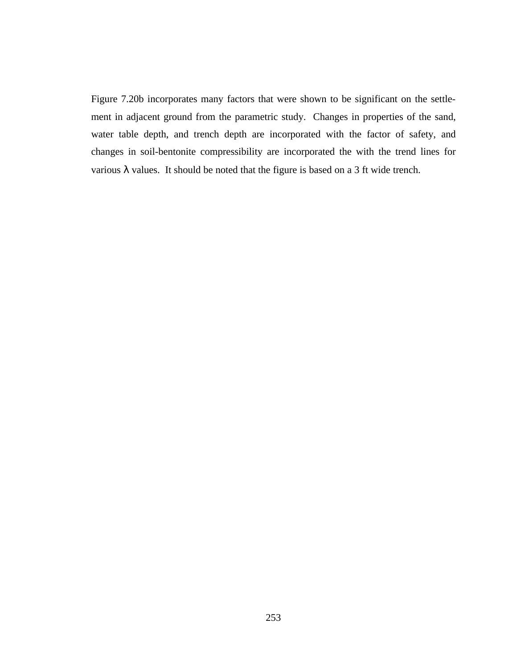Figure 7.20b incorporates many factors that were shown to be significant on the settlement in adjacent ground from the parametric study. Changes in properties of the sand, water table depth, and trench depth are incorporated with the factor of safety, and changes in soil-bentonite compressibility are incorporated the with the trend lines for various  $\lambda$  values. It should be noted that the figure is based on a 3 ft wide trench.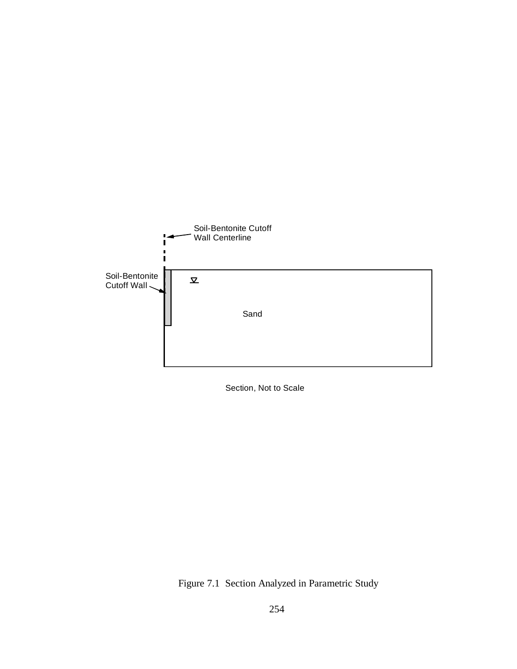

Section, Not to Scale

Figure 7.1 Section Analyzed in Parametric Study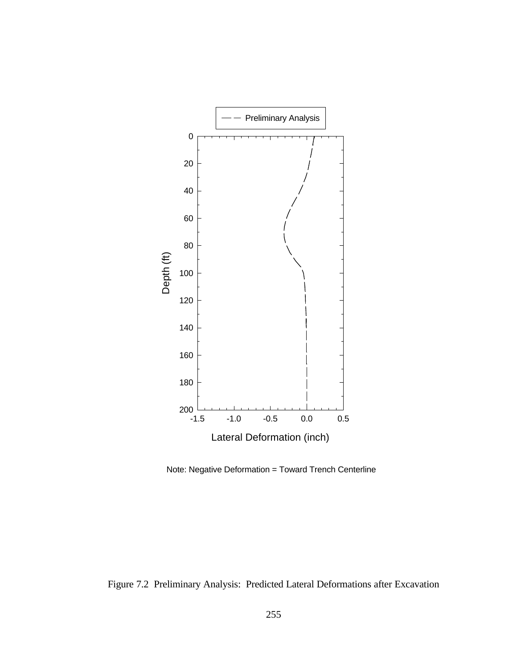

Note: Negative Deformation = Toward Trench Centerline

Figure 7.2 Preliminary Analysis: Predicted Lateral Deformations after Excavation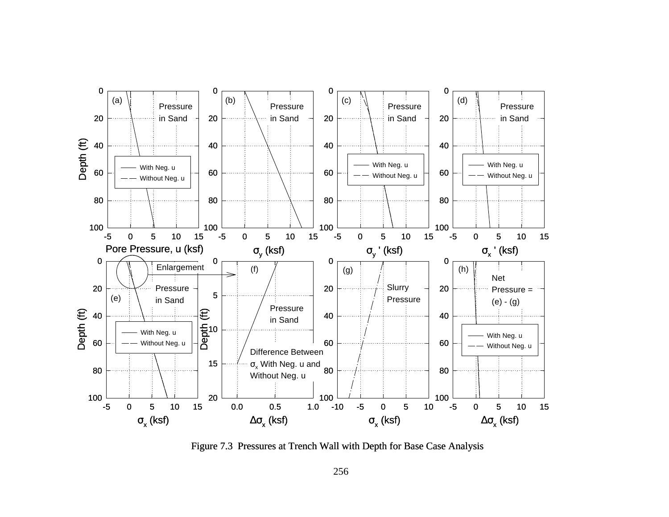

Figure 7.3 Pressures at Trench Wall with Depth for Base Case Analysis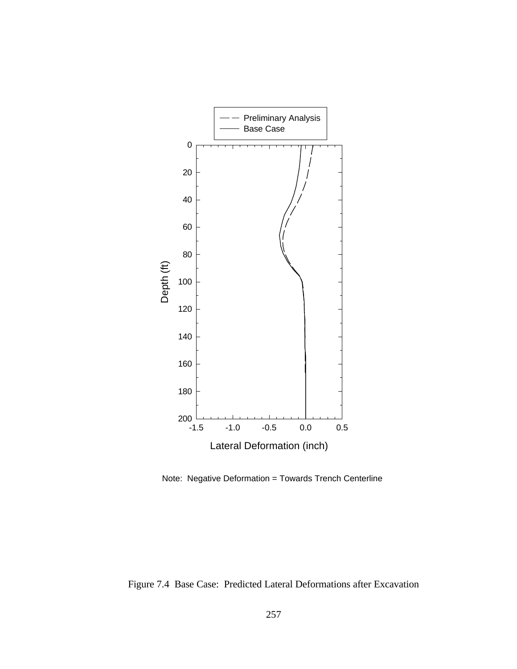

Note: Negative Deformation = Towards Trench Centerline

Figure 7.4 Base Case: Predicted Lateral Deformations after Excavation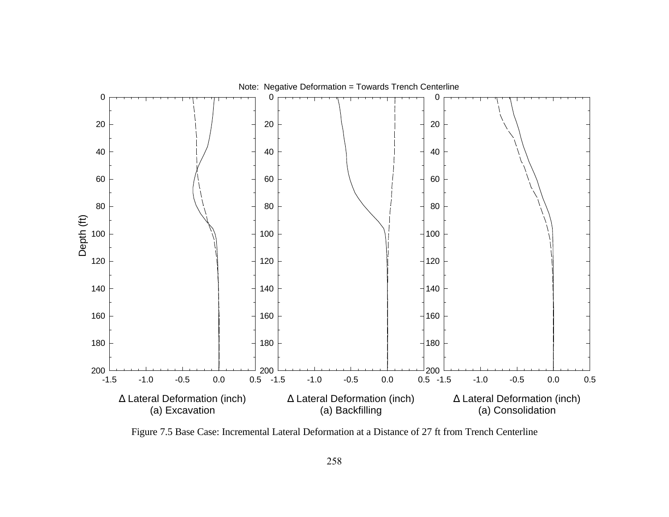

Figure 7.5 Base Case: Incremental Lateral Deformation at a Distance of 27 ft from Trench Centerline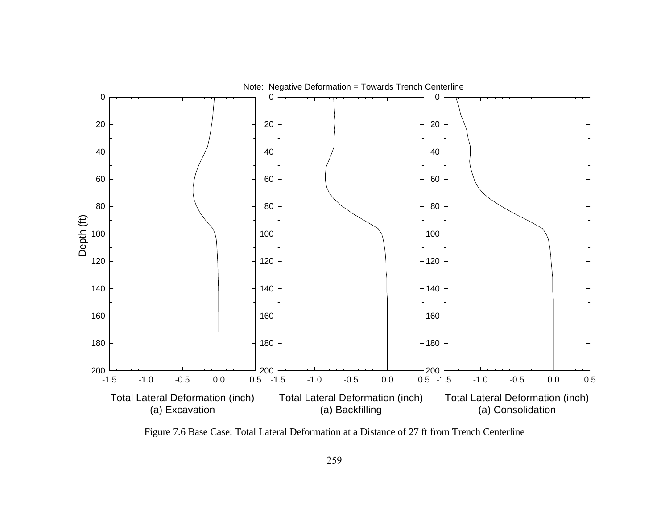

Figure 7.6 Base Case: Total Lateral Deformation at a Distance of 27 ft from Trench Centerline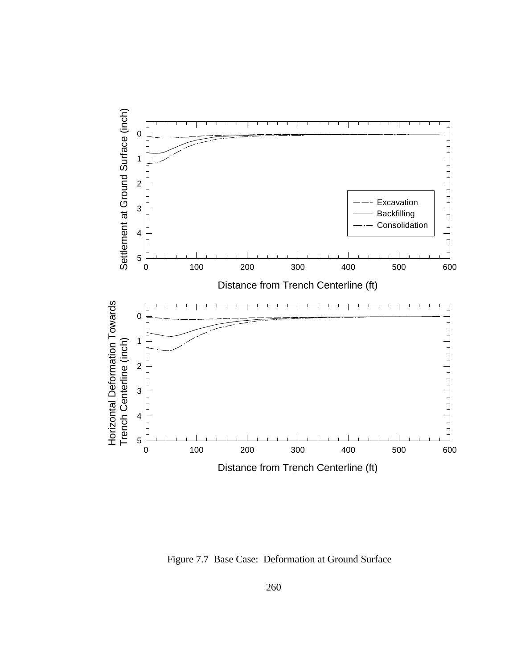

Figure 7.7 Base Case: Deformation at Ground Surface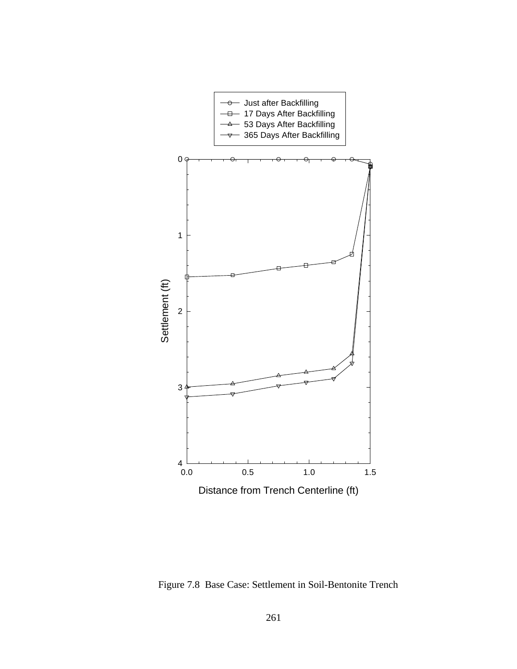

Figure 7.8 Base Case: Settlement in Soil-Bentonite Trench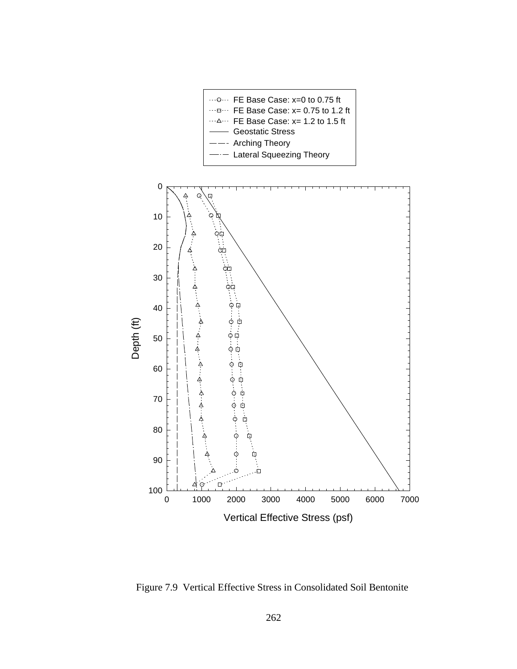

Figure 7.9 Vertical Effective Stress in Consolidated Soil Bentonite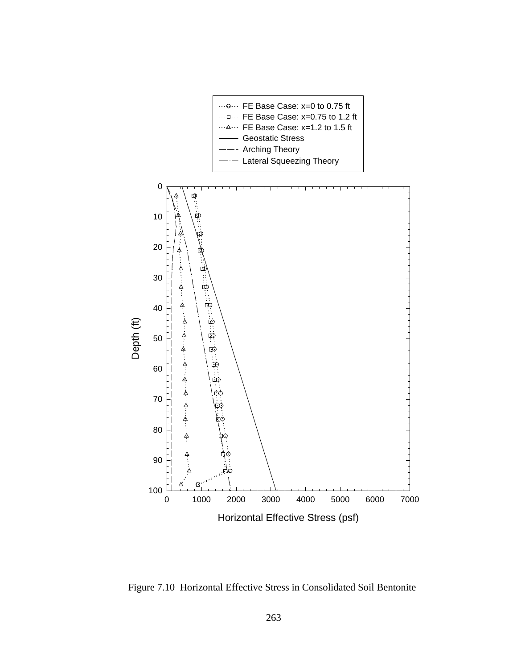

Figure 7.10 Horizontal Effective Stress in Consolidated Soil Bentonite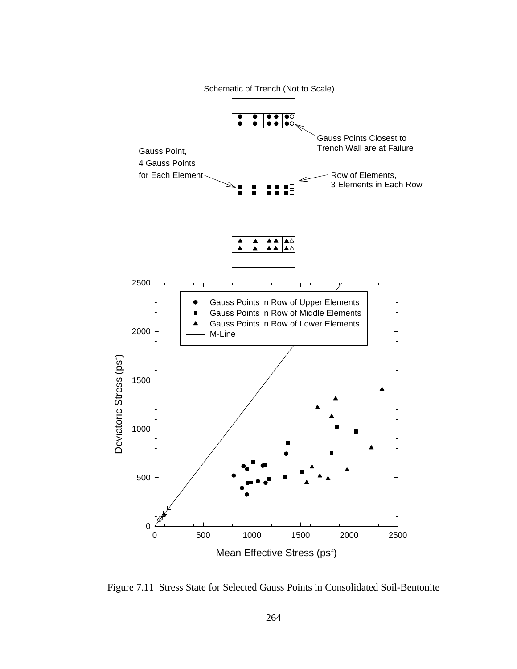

Figure 7.11 Stress State for Selected Gauss Points in Consolidated Soil-Bentonite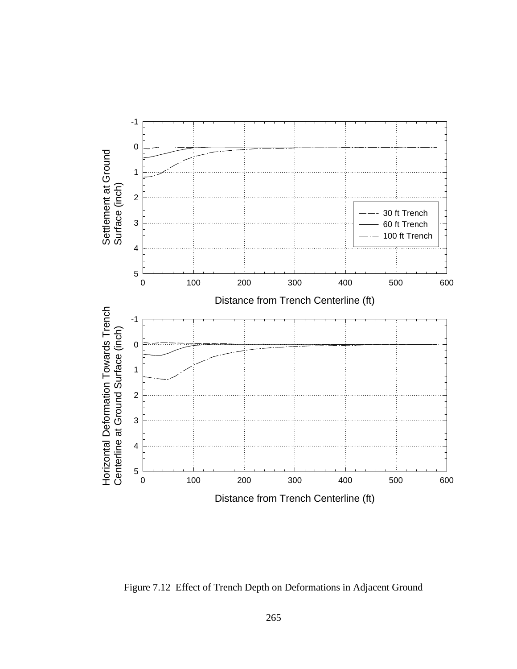

Figure 7.12 Effect of Trench Depth on Deformations in Adjacent Ground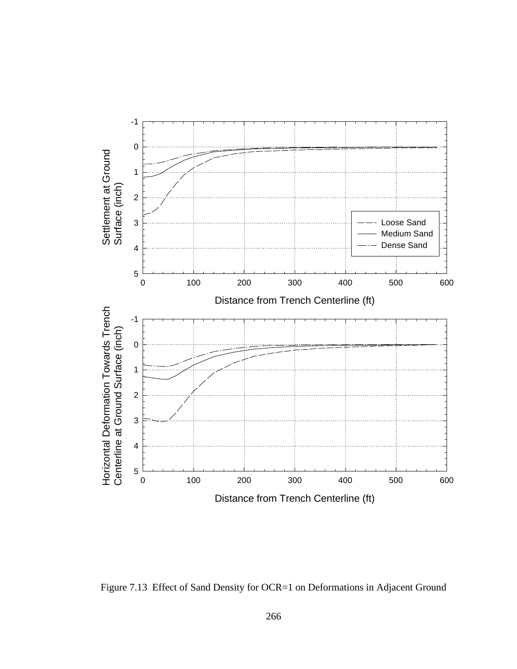

Figure 7.13 Effect of Sand Density for OCR=1 on Deformations in Adjacent Ground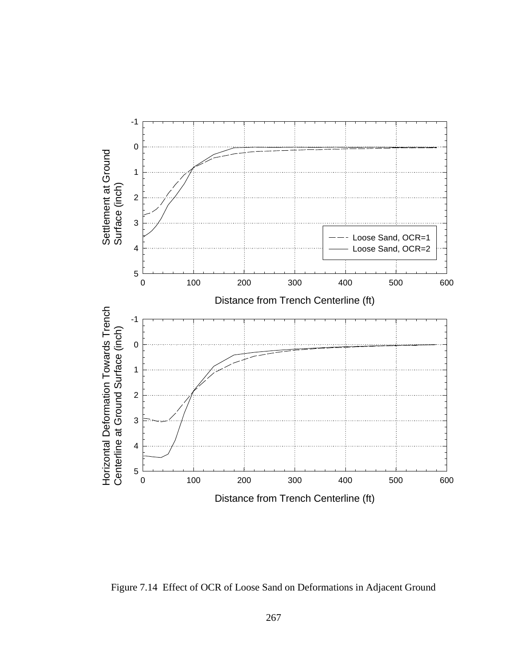

Figure 7.14 Effect of OCR of Loose Sand on Deformations in Adjacent Ground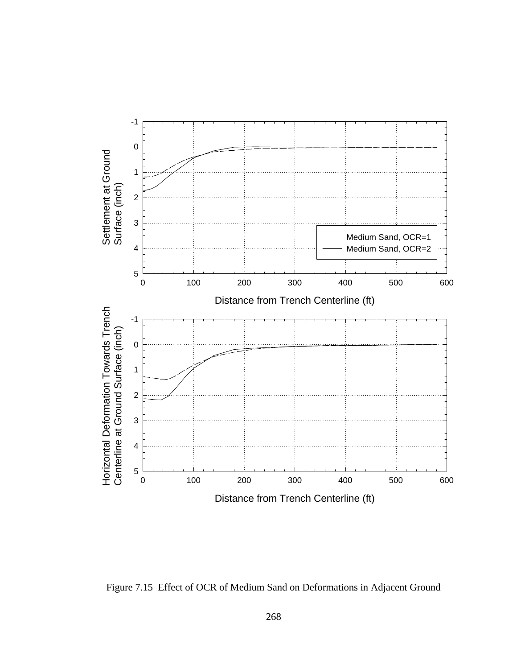

Figure 7.15 Effect of OCR of Medium Sand on Deformations in Adjacent Ground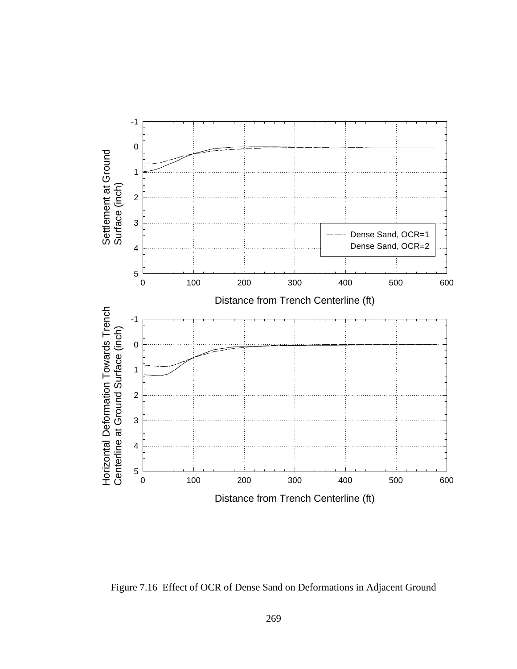

Figure 7.16 Effect of OCR of Dense Sand on Deformations in Adjacent Ground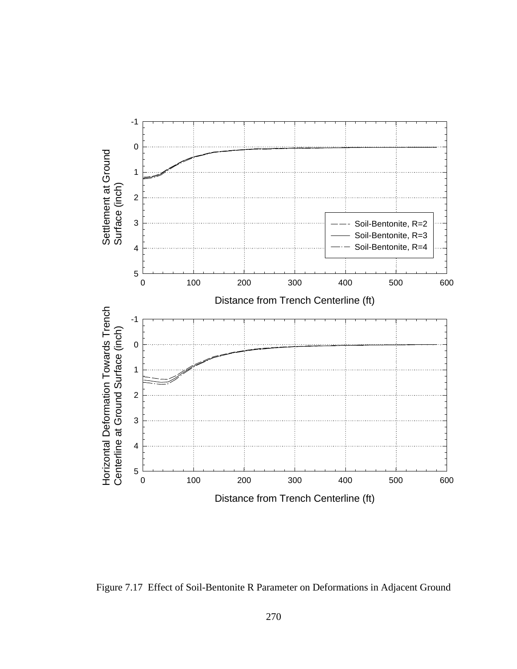

Figure 7.17 Effect of Soil-Bentonite R Parameter on Deformations in Adjacent Ground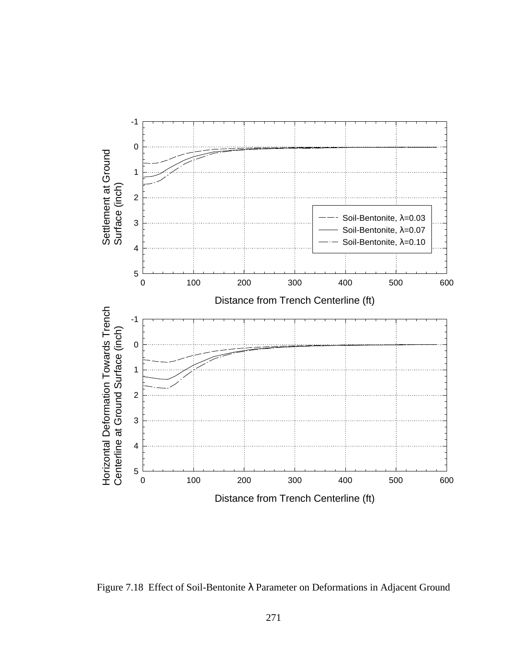

Figure 7.18 Effect of Soil-Bentonite λ Parameter on Deformations in Adjacent Ground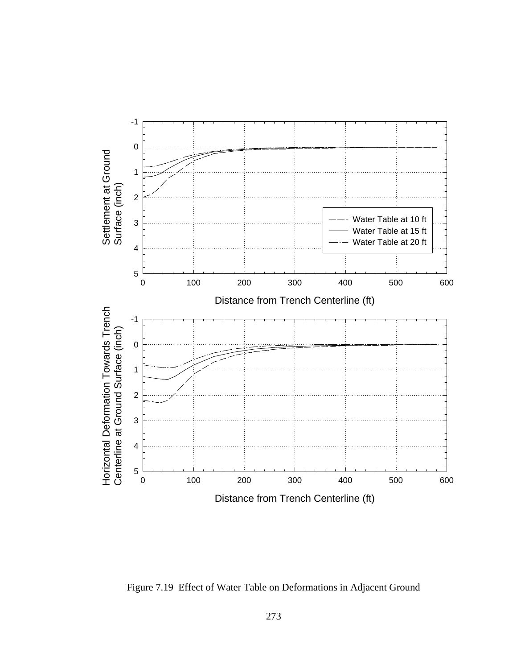

Figure 7.19 Effect of Water Table on Deformations in Adjacent Ground